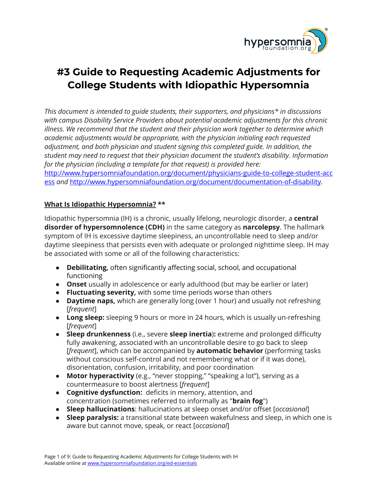

# **#3 Guide to Requesting Academic Adjustments for College Students with Idiopathic Hypersomnia**

*This document is intended to guide students, their supporters, and physicians\* in discussions with campus Disability Service Providers about potential academic adjustments for this chronic illness. We recommend that the student and their physician work together to determine which academic adjustments would be appropriate, with the physician initialing each requested adjustment, and both physician and student signing this completed guide. In addition, the student may need to request that their physician document the student's disability. Information for the physician (including a template for that request) is provided here:* [http://www.hypersomniafoundation.org/document/physicians-guide-to-college-student-acc](http://www.hypersomniafoundation.org/document/physicians-guide-to-college-student-access) [ess](http://www.hypersomniafoundation.org/document/physicians-guide-to-college-student-access) *and* <http://www.hypersomniafoundation.org/document/documentation-of-disability>*.*

## **What Is Idiopathic Hypersomnia? \*\***

Idiopathic hypersomnia (IH) is a chronic, usually lifelong, neurologic disorder, a **central disorder of hypersomnolence (CDH)** in the same category as **narcolepsy**. The hallmark symptom of IH is excessive daytime sleepiness, an uncontrollable need to sleep and/or daytime sleepiness that persists even with adequate or prolonged nighttime sleep. IH may be associated with some or all of the following characteristics:

- **Debilitating,** often significantly affecting social, school, and occupational functioning
- **Onset** usually in adolescence or early adulthood (but may be earlier or later)
- **Fluctuating severity,** with some time periods worse than others
- **Daytime naps,** which are generally long (over 1 hour) and usually not refreshing [*frequent*]
- **Long sleep:** sleeping 9 hours or more in 24 hours, which is usually un-refreshing [*frequent*]
- **Sleep drunkenness** (i.e., severe **sleep inertia**)**:** extreme and prolonged difficulty fully awakening, associated with an uncontrollable desire to go back to sleep [*frequent*], which can be accompanied by **automatic behavior** (performing tasks without conscious self-control and not remembering what or if it was done), disorientation, confusion, irritability, and poor coordination
- **Motor hyperactivity** (e.g., "never stopping," "speaking a lot"), serving as a countermeasure to boost alertness [*frequent*]
- **Cognitive dysfunction:** deficits in memory, attention, and concentration (sometimes referred to informally as "**brain fog**")
- **Sleep hallucinations**: hallucinations at sleep onset and/or offset [*occasional*]
- **● Sleep paralysis:** a transitional state between wakefulness and sleep, in which one is aware but cannot move, speak, or react [*occasional*]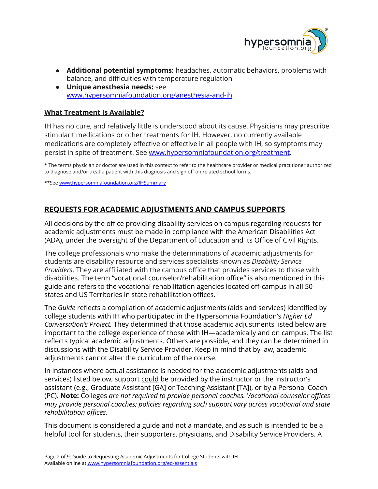

- **● Additional potential symptoms:** headaches, automatic behaviors, problems with balance, and difficulties with temperature regulation
- **● Unique anesthesia needs:** see [www.hypersomniafoundation.org/anesthesia-and-ih](http://www.hypersomniafoundation.org/anesthesia-and-ih)

## **What Treatment Is Available?**

IH has no cure, and relatively little is understood about its cause. Physicians may prescribe stimulant medications or other treatments for IH. However, no currently available medications are completely effective or effective in all people with IH, so symptoms may persist in spite of treatment. See [www.hypersomniafoundation.org/treatment.](http://www.hypersomniafoundation.org/treatment)

**\*** The terms physician or doctor are used in this context to refer to the healthcare provider or medical practitioner authorized to diagnose and/or treat a patient with this diagnosis and sign off on related school forms.

**\*\***See [www.hypersomniafoundation.org/IHSummary](http://www.hypersomniafoundation.org/IHSummary)

# **REQUESTS FOR ACADEMIC ADJUSTMENTS AND CAMPUS SUPPORTS**

All decisions by the office providing disability services on campus regarding requests for academic adjustments must be made in compliance with the American Disabilities Act (ADA), under the oversight of the Department of Education and its Office of Civil Rights.

The college professionals who make the determinations of academic adjustments for students are disability resource and services specialists known as *Disability Service Providers*. They are affiliated with the campus office that provides services to those with disabilities. The term "vocational counselor/rehabilitation office" is also mentioned in this guide and refers to the vocational rehabilitation agencies located off-campus in all 50 states and US Territories in state rehabilitation offices.

The *Guide* reflects a compilation of academic adjustments (aids and services) identified by college students with IH who participated in the Hypersomnia Foundation's *Higher Ed Conversation's Project.* They determined that those academic adjustments listed below are important to the college experience of those with IH—academically and on campus. The list reflects typical academic adjustments. Others are possible, and they can be determined in discussions with the Disability Service Provider. Keep in mind that by law, academic adjustments cannot alter the curriculum of the course.

In instances where actual assistance is needed for the academic adjustments (aids and services) listed below, support could be provided by the instructor or the instructor's assistant (e.g., Graduate Assistant [GA] or Teaching Assistant [TA]), or by a Personal Coach (PC). **Note:** Colleges *are not required to provide personal coaches. Vocational counselor offices may provide personal coaches; policies regarding such support vary across vocational and state rehabilitation offices.*

This document is considered a guide and not a mandate, and as such is intended to be a helpful tool for students, their supporters, physicians, and Disability Service Providers. A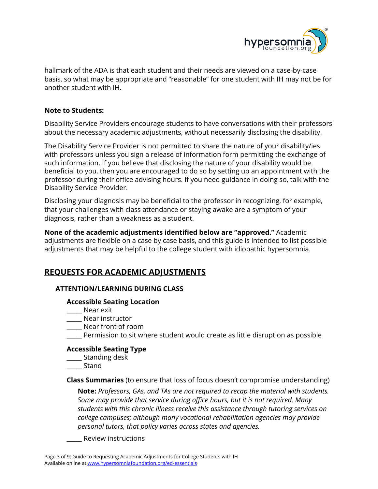

hallmark of the ADA is that each student and their needs are viewed on a case-by-case basis, so what may be appropriate and "reasonable" for one student with IH may not be for another student with IH.

#### **Note to Students:**

Disability Service Providers encourage students to have conversations with their professors about the necessary academic adjustments, without necessarily disclosing the disability.

The Disability Service Provider is not permitted to share the nature of your disability/ies with professors unless you sign a release of information form permitting the exchange of such information. If you believe that disclosing the nature of your disability would be beneficial to you, then you are encouraged to do so by setting up an appointment with the professor during their office advising hours. If you need guidance in doing so, talk with the Disability Service Provider.

Disclosing your diagnosis may be beneficial to the professor in recognizing, for example, that your challenges with class attendance or staying awake are a symptom of your diagnosis, rather than a weakness as a student.

**None of the academic adjustments identified below are "approved."** Academic adjustments are flexible on a case by case basis, and this guide is intended to list possible adjustments that may be helpful to the college student with idiopathic hypersomnia.

# **REQUESTS FOR ACADEMIC ADJUSTMENTS**

## **ATTENTION/LEARNING DURING CLASS**

#### **Accessible Seating Location**

- \_\_\_\_\_ Near exit
- \_\_\_\_\_ Near instructor
- \_\_\_\_\_ Near front of room
- \_\_\_\_\_ Permission to sit where student would create as little disruption as possible

## **Accessible Seating Type**

- \_\_\_\_\_ Standing desk
- \_\_\_\_\_ Stand

**Class Summaries** (to ensure that loss of focus doesn't compromise understanding)

**Note:** *Professors, GAs, and TAs are not required to recap the material with students. Some may provide that service during office hours, but it is not required. Many students with this chronic illness receive this assistance through tutoring services on college campuses; although many vocational rehabilitation agencies may provide personal tutors, that policy varies across states and agencies.*

\_\_\_\_\_ Review instructions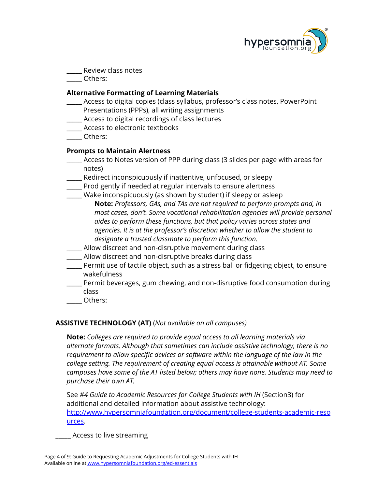

\_\_\_\_\_ Review class notes

\_\_\_\_\_ Others:

#### **Alternative Formatting of Learning Materials**

- \_\_\_\_\_ Access to digital copies (class syllabus, professor's class notes, PowerPoint
- Presentations (PPPs), all writing assignments
- \_\_\_\_\_ Access to digital recordings of class lectures
- \_\_\_\_\_ Access to electronic textbooks
- \_\_\_\_\_ Others:

## **Prompts to Maintain Alertness**

- \_\_\_\_\_ Access to Notes version of PPP during class (3 slides per page with areas for notes)
- Redirect inconspicuously if inattentive, unfocused, or sleepy
- \_\_\_\_\_ Prod gently if needed at regular intervals to ensure alertness
- Wake inconspicuously (as shown by student) if sleepy or asleep **Note:** *Professors, GAs, and TAs are not required to perform prompts and, in most cases, don't. Some vocational rehabilitation agencies will provide personal aides to perform these functions, but that policy varies across states and agencies. It is at the professor's discretion whether to allow the student to designate a trusted classmate to perform this function.*
- \_\_\_\_\_ Allow discreet and non-disruptive movement during class
- \_\_\_\_\_ Allow discreet and non-disruptive breaks during class
- Permit use of tactile object, such as a stress ball or fidgeting object, to ensure wakefulness
- \_\_\_\_\_ Permit beverages, gum chewing, and non-disruptive food consumption during class
- \_\_\_\_\_ Others:

## **ASSISTIVE TECHNOLOGY (AT)** (*Not available on all campuses)*

**Note:** *Colleges are required to provide equal access to all learning materials via alternate formats. Although that sometimes can include assistive technology, there is no requirement to allow specific devices or software within the language of the law in the college setting. The requirement of creating equal access is attainable without AT. Some campuses have some of the AT listed below; others may have none. Students may need to purchase their own AT.*

See *#4 Guide to Academic Resources for College Students with IH* (Section3) for additional and detailed information about assistive technology: [http://www.hypersomniafoundation.org/document/college-students-academic-reso](http://www.hypersomniafoundation.org/document/college-students-academic-resources) [urces.](http://www.hypersomniafoundation.org/document/college-students-academic-resources)

\_\_\_\_\_ Access to live streaming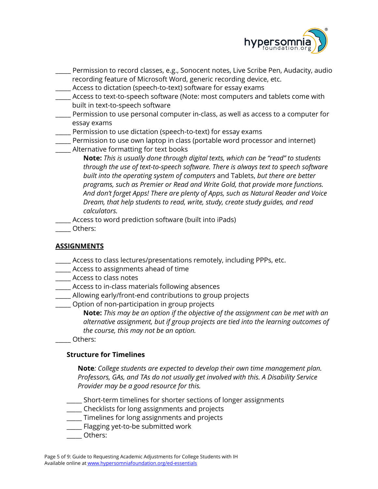

- \_\_\_\_\_ Permission to record classes, e.g., Sonocent notes, Live Scribe Pen, Audacity, audio recording feature of Microsoft Word, generic recording device, etc.
- \_\_\_\_\_ Access to dictation (speech-to-text) software for essay exams
- \_\_\_\_\_ Access to text-to-speech software (Note: most computers and tablets come with built in text-to-speech software
- \_\_\_\_\_ Permission to use personal computer in-class, as well as access to a computer for essay exams
- \_\_\_\_\_ Permission to use dictation (speech-to-text) for essay exams
- \_\_\_\_\_ Permission to use own laptop in class (portable word processor and internet)
- \_\_\_\_\_ Alternative formatting for text books
	- **Note:** *This is usually done through digital texts, which can be "read" to students through the use of text-to-speech software. There is always text to speech software built into the operating system of computers* and Tablets, *but there are better programs, such as Premier or Read and Write Gold, that provide more functions. And don't forget Apps! There are plenty of Apps, such as Natural Reader and Voice Dream, that help students to read, write, study, create study guides, and read calculators.*
- \_\_\_\_\_ Access to word prediction software (built into iPads)
- \_\_\_\_\_ Others:

# **ASSIGNMENTS**

- \_\_\_\_\_ Access to class lectures/presentations remotely, including PPPs, etc.
- \_\_\_\_\_ Access to assignments ahead of time
- \_\_\_\_\_ Access to class notes
- \_\_\_\_\_ Access to in-class materials following absences
- \_\_\_\_\_ Allowing early/front-end contributions to group projects
- \_\_\_\_\_ Option of non-participation in group projects

**Note:** *This may be an option if the objective of the assignment can be met with an alternative assignment, but if group projects are tied into the learning outcomes of the course, this may not be an option.*

\_\_\_\_\_ Others:

# **Structure for Timelines**

**Note***: College students are expected to develop their own time management plan. Professors, GAs, and TAs do not usually get involved with this. A Disability Service Provider may be a good resource for this.*

- \_\_\_\_\_ Short-term timelines for shorter sections of longer assignments
- \_\_\_\_\_ Checklists for long assignments and projects
- \_\_\_\_\_ Timelines for long assignments and projects
- \_\_\_\_\_ Flagging yet-to-be submitted work
- \_\_\_\_\_ Others: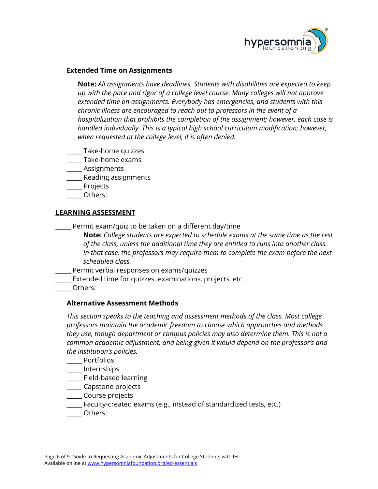

#### **Extended Time on Assignments**

**Note:** *All assignments have deadlines. Students with disabilities are expected to keep up with the pace and rigor of a college level course. Many colleges will not approve extended time on assignments. Everybody has emergencies, and students with this chronic illness are encouraged to reach out to professors in the event of a hospitalization that prohibits the completion of the assignment; however, each case is handled individually. This is a typical high school curriculum modification; however, when requested at the college level, it is often denied.*

- \_\_\_\_\_ Take-home quizzes
- \_\_\_\_\_ Take-home exams
- \_\_\_\_\_ Assignments
- \_\_\_\_\_ Reading assignments
- \_\_\_\_\_ Projects
- \_\_\_\_\_ Others:

#### **LEARNING ASSESSMENT**

\_\_\_\_\_ Permit exam/quiz to be taken on a different day/time

**Note:** *College students are expected to schedule exams at the same time as the rest of the class, unless the additional time they are entitled to runs into another class. In that case, the professors may require them to complete the exam before the next scheduled class.*

- \_\_\_\_\_ Permit verbal responses on exams/quizzes
- \_\_\_\_\_ Extended time for quizzes, examinations, projects, etc.
- \_\_\_\_\_ Others:

## **Alternative Assessment Methods**

*This section speaks to the teaching and assessment methods of the class. Most college professors maintain the academic freedom to choose which approaches and methods they use, though department or campus policies may also determine them. This is not a common academic adjustment, and being given it would depend on the professor's and the institution's policies.*

- \_\_\_\_\_ Portfolios
- \_\_\_\_\_ Internships
- \_\_\_\_\_ Field-based learning
- \_\_\_\_\_ Capstone projects
- \_\_\_\_\_ Course projects
- \_\_\_\_\_ Faculty-created exams (e.g., instead of standardized tests, etc.)
- \_\_\_\_\_ Others: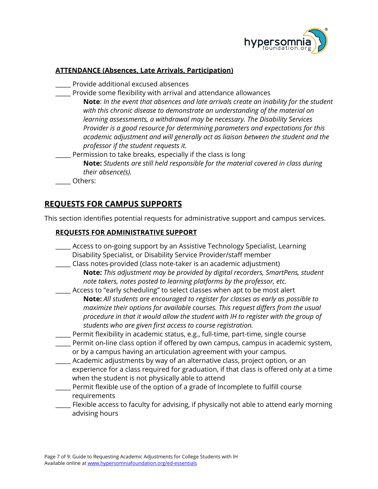

# **ATTENDANCE (Absences, Late Arrivals, Participation)**

- \_\_\_\_\_ Provide additional excused absences
- \_\_\_\_\_ Provide some flexibility with arrival and attendance allowances **Note**: *In the event that absences and late arrivals create an inability for the student with this chronic disease to demonstrate an understanding of the material on learning assessments, a withdrawal may be necessary. The Disability Services Provider is a good resource for determining parameters and expectations for this academic adjustment and will generally act as liaison between the student and the professor if the student requests it.*
- Permission to take breaks, especially if the class is long
	- **Note:** *Students are still held responsible for the material covered in class during their absence(s).*
- \_\_\_\_\_ Others:

# **REQUESTS FOR CAMPUS SUPPORTS**

This section identifies potential requests for administrative support and campus services.

#### **REQUESTS FOR ADMINISTRATIVE SUPPORT**

- \_\_\_\_\_ Access to on-going support by an Assistive Technology Specialist, Learning Disability Specialist, or Disability Service Provider/staff member
- \_\_\_\_\_ Class notes provided (class note-taker is an academic adjustment)
	- **Note:** *This adjustment may be provided by digital recorders, SmartPens, student note takers, notes posted to learning platforms by the professor, etc.*
	- \_\_\_\_\_ Access to "early scheduling" to select classes when apt to be most alert **Note:** *All students are encouraged to register for classes as early as possible to maximize their options for available courses. This request differs from the usual procedure in that it would allow the student with IH to register with the group of students who are given first access to course registration.*
- \_\_\_\_\_ Permit flexibility in academic status, e.g., full-time, part-time, single course
- Permit on-line class option if offered by own campus, campus in academic system, or by a campus having an articulation agreement with your campus.
- Academic adjustments by way of an alternative class, project option, or an experience for a class required for graduation, if that class is offered only at a time when the student is not physically able to attend
- \_\_\_\_\_ Permit flexible use of the option of a grade of Incomplete to fulfill course requirements
- Flexible access to faculty for advising, if physically not able to attend early morning advising hours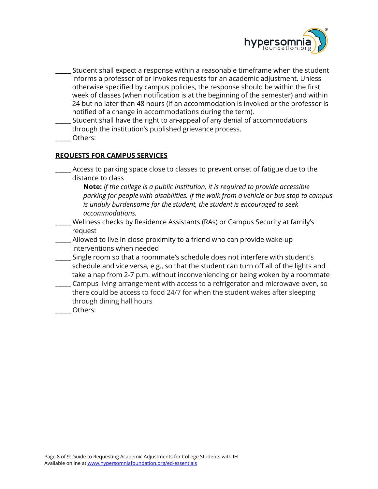

- \_\_\_\_\_ Student shall expect a response within a reasonable timeframe when the student informs a professor of or invokes requests for an academic adjustment. Unless otherwise specified by campus policies, the response should be within the first week of classes (when notification is at the beginning of the semester) and within 24 but no later than 48 hours (if an accommodation is invoked or the professor is notified of a change in accommodations during the term).
- Student shall have the right to an-appeal of any denial of accommodations through the institution's published grievance process.
- \_\_\_\_\_ Others:

#### **REQUESTS FOR CAMPUS SERVICES**

\_\_\_\_\_ Access to parking space close to classes to prevent onset of fatigue due to the distance to class

**Note:** *If the college is a public institution, it is required to provide accessible parking for people with disabilities. If the walk from a vehicle or bus stop to campus is unduly burdensome for the student, the student is encouraged to seek accommodations.*

- \_\_\_\_\_ Wellness checks by Residence Assistants (RAs) or Campus Security at family's request
- Allowed to live in close proximity to a friend who can provide wake-up interventions when needed
- \_\_\_\_\_ Single room so that a roommate's schedule does not interfere with student's schedule and vice versa, e.g., so that the student can turn off all of the lights and take a nap from 2-7 p.m. without inconveniencing or being woken by a roommate
- \_\_\_\_\_ Campus living arrangement with access to a refrigerator and microwave oven, so there could be access to food 24/7 for when the student wakes after sleeping through dining hall hours
- Others: